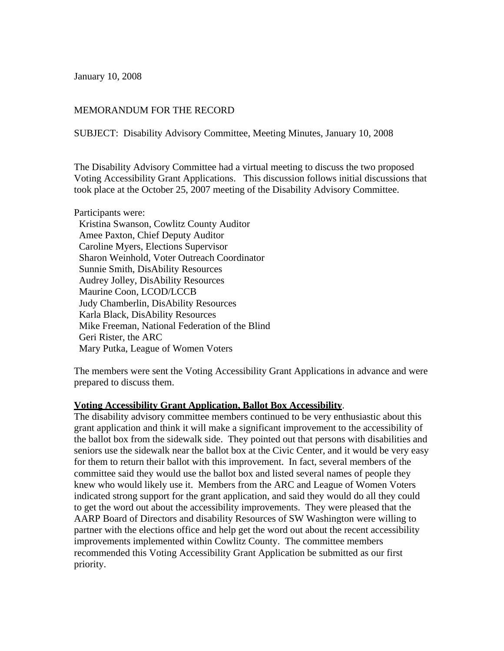January 10, 2008

## MEMORANDUM FOR THE RECORD

SUBJECT: Disability Advisory Committee, Meeting Minutes, January 10, 2008

The Disability Advisory Committee had a virtual meeting to discuss the two proposed Voting Accessibility Grant Applications. This discussion follows initial discussions that took place at the October 25, 2007 meeting of the Disability Advisory Committee.

Participants were: Kristina Swanson, Cowlitz County Auditor Amee Paxton, Chief Deputy Auditor Caroline Myers, Elections Supervisor Sharon Weinhold, Voter Outreach Coordinator Sunnie Smith, DisAbility Resources Audrey Jolley, DisAbility Resources Maurine Coon, LCOD/LCCB Judy Chamberlin, DisAbility Resources Karla Black, DisAbility Resources Mike Freeman, National Federation of the Blind Geri Rister, the ARC Mary Putka, League of Women Voters

The members were sent the Voting Accessibility Grant Applications in advance and were prepared to discuss them.

## **Voting Accessibility Grant Application, Ballot Box Accessibility**.

The disability advisory committee members continued to be very enthusiastic about this grant application and think it will make a significant improvement to the accessibility of the ballot box from the sidewalk side. They pointed out that persons with disabilities and seniors use the sidewalk near the ballot box at the Civic Center, and it would be very easy for them to return their ballot with this improvement. In fact, several members of the committee said they would use the ballot box and listed several names of people they knew who would likely use it. Members from the ARC and League of Women Voters indicated strong support for the grant application, and said they would do all they could to get the word out about the accessibility improvements. They were pleased that the AARP Board of Directors and disability Resources of SW Washington were willing to partner with the elections office and help get the word out about the recent accessibility improvements implemented within Cowlitz County. The committee members recommended this Voting Accessibility Grant Application be submitted as our first priority.